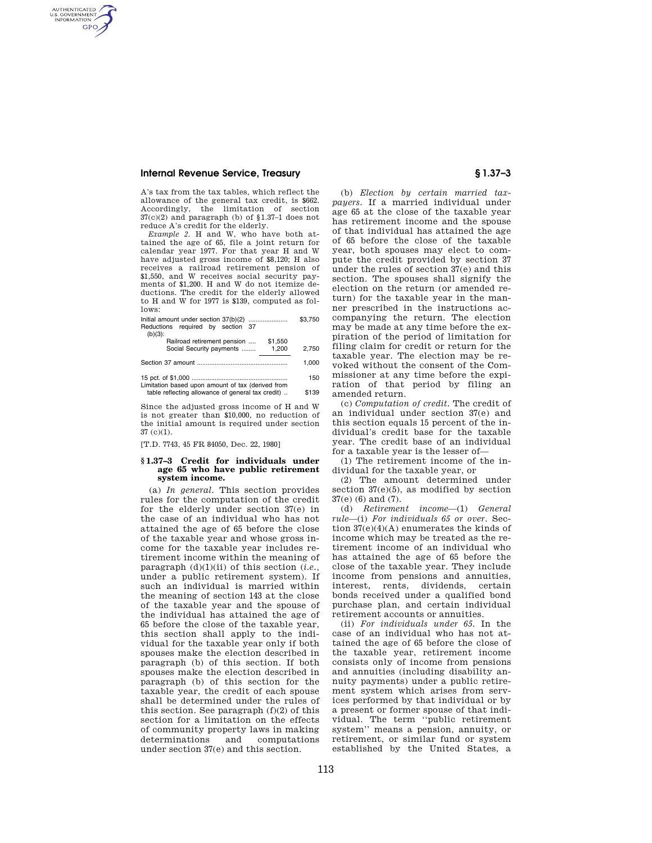# **Internal Revenue Service, Treasury § 1.37–3**

AUTHENTICATED<br>U.S. GOVERNMENT<br>INFORMATION **GPO** 

> A's tax from the tax tables, which reflect the allowance of the general tax credit, is \$662. Accordingly, the limitation of section 37(c)(2) and paragraph (b) of §1.37–1 does not reduce A's credit for the elderly.

> *Example 2.* H and W, who have both attained the age of 65, file a joint return for calendar year 1977. For that year H and W have adjusted gross income of \$8,120; H also receives a railroad retirement pension of \$1,550, and W receives social security payments of \$1,200. H and W do not itemize deductions. The credit for the elderly allowed to H and W for 1977 is \$139, computed as follows:

|                                   |                             |  |         | \$3.750 |
|-----------------------------------|-----------------------------|--|---------|---------|
| Reductions required by section 37 |                             |  |         |         |
| $(b)(3)$ :                        |                             |  |         |         |
|                                   | Railroad retirement pension |  | \$1.550 |         |

| Social Security payments                          | 1.200 | 2.750 |
|---------------------------------------------------|-------|-------|
|                                                   |       | 1.000 |
| Limitation based upon amount of tax (derived from |       | 150   |

| Ellinguon basea apon amount of lax (derived from  |       |
|---------------------------------------------------|-------|
| table reflecting allowance of general tax credit) | \$139 |

Since the adjusted gross income of H and W is not greater than \$10,000, no reduction of the initial amount is required under section 37 (c)(1).

[T.D. 7743, 45 FR 84050, Dec. 22, 1980]

### **§ 1.37–3 Credit for individuals under age 65 who have public retirement system income.**

(a) *In general.* This section provides rules for the computation of the credit for the elderly under section 37(e) in the case of an individual who has not attained the age of 65 before the close of the taxable year and whose gross income for the taxable year includes retirement income within the meaning of paragraph (d)(1)(ii) of this section (*i.e.,*  under a public retirement system). If such an individual is married within the meaning of section 143 at the close of the taxable year and the spouse of the individual has attained the age of 65 before the close of the taxable year, this section shall apply to the individual for the taxable year only if both spouses make the election described in paragraph (b) of this section. If both spouses make the election described in paragraph (b) of this section for the taxable year, the credit of each spouse shall be determined under the rules of this section. See paragraph (f)(2) of this section for a limitation on the effects of community property laws in making determinations and computations under section 37(e) and this section.

(b) *Election by certain married taxpayers.* If a married individual under age 65 at the close of the taxable year has retirement income and the spouse of that individual has attained the age of 65 before the close of the taxable year, both spouses may elect to compute the credit provided by section 37 under the rules of section 37(e) and this section. The spouses shall signify the election on the return (or amended return) for the taxable year in the manner prescribed in the instructions accompanying the return. The election may be made at any time before the expiration of the period of limitation for filing claim for credit or return for the taxable year. The election may be revoked without the consent of the Commissioner at any time before the expiration of that period by filing an amended return.

(c) *Computation of credit.* The credit of an individual under section 37(e) and this section equals 15 percent of the individual's credit base for the taxable year. The credit base of an individual for a taxable year is the lesser of—

(1) The retirement income of the individual for the taxable year, or

(2) The amount determined under section  $37(e)(5)$ , as modified by section 37(e) (6) and (7).

(d) *Retirement income*—(1) *General rule*—(i) *For individuals 65 or over.* Section 37(e)(4)(A) enumerates the kinds of income which may be treated as the retirement income of an individual who has attained the age of 65 before the close of the taxable year. They include income from pensions and annuities, interest, rents, dividends, certain bonds received under a qualified bond purchase plan, and certain individual retirement accounts or annuities.

(ii) *For individuals under 65.* In the case of an individual who has not attained the age of 65 before the close of the taxable year, retirement income consists only of income from pensions and annuities (including disability annuity payments) under a public retirement system which arises from services performed by that individual or by a present or former spouse of that individual. The term ''public retirement system'' means a pension, annuity, or retirement, or similar fund or system established by the United States, a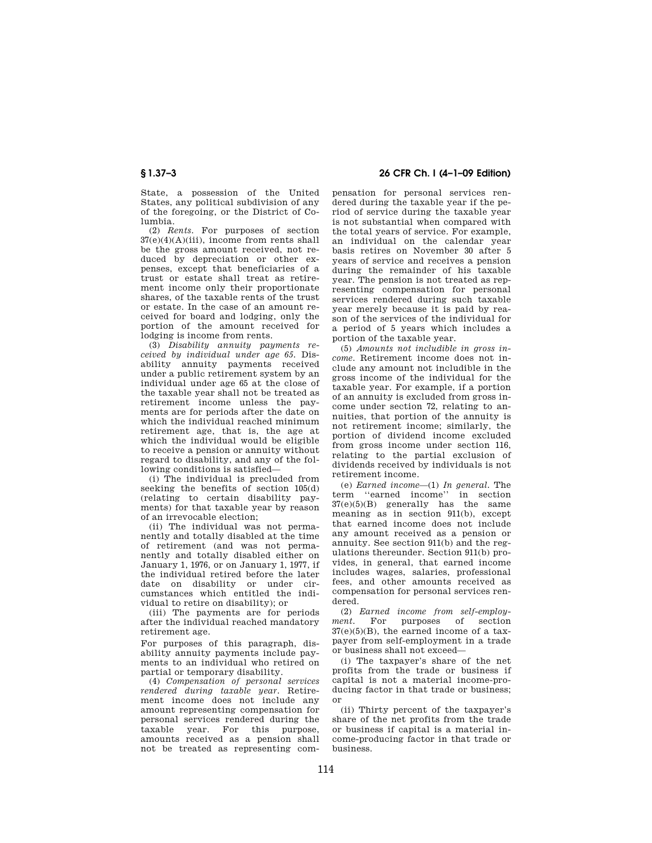State, a possession of the United States, any political subdivision of any of the foregoing, or the District of Columbia.

(2) *Rents.* For purposes of section 37(e)(4)(A)(iii), income from rents shall be the gross amount received, not reduced by depreciation or other expenses, except that beneficiaries of a trust or estate shall treat as retirement income only their proportionate shares, of the taxable rents of the trust or estate. In the case of an amount received for board and lodging, only the portion of the amount received for lodging is income from rents.

(3) *Disability annuity payments received by individual under age 65.* Disability annuity payments received under a public retirement system by an individual under age 65 at the close of the taxable year shall not be treated as retirement income unless the payments are for periods after the date on which the individual reached minimum retirement age, that is, the age at which the individual would be eligible to receive a pension or annuity without regard to disability, and any of the following conditions is satisfied—

(i) The individual is precluded from seeking the benefits of section 105(d) (relating to certain disability payments) for that taxable year by reason of an irrevocable election;

(ii) The individual was not permanently and totally disabled at the time of retirement (and was not permanently and totally disabled either on January 1, 1976, or on January 1, 1977, if the individual retired before the later date on disability or under circumstances which entitled the individual to retire on disability); or

(iii) The payments are for periods after the individual reached mandatory retirement age.

For purposes of this paragraph, disability annuity payments include payments to an individual who retired on partial or temporary disability.

(4) *Compensation of personal services rendered during taxable year.* Retirement income does not include any amount representing compensation for personal services rendered during the taxable year. For this purpose, amounts received as a pension shall not be treated as representing com-

**§ 1.37–3 26 CFR Ch. I (4–1–09 Edition)** 

pensation for personal services rendered during the taxable year if the period of service during the taxable year is not substantial when compared with the total years of service. For example, an individual on the calendar year basis retires on November 30 after 5 years of service and receives a pension during the remainder of his taxable year. The pension is not treated as representing compensation for personal services rendered during such taxable year merely because it is paid by reason of the services of the individual for a period of 5 years which includes a portion of the taxable year.

(5) *Amounts not includible in gross income.* Retirement income does not include any amount not includible in the gross income of the individual for the taxable year. For example, if a portion of an annuity is excluded from gross income under section 72, relating to annuities, that portion of the annuity is not retirement income; similarly, the portion of dividend income excluded from gross income under section 116, relating to the partial exclusion of dividends received by individuals is not retirement income.

(e) *Earned income*—(1) *In general.* The term ''earned income'' in section  $37(e)(5)(B)$  generally has the same meaning as in section 911(b), except that earned income does not include any amount received as a pension or annuity. See section 911(b) and the regulations thereunder. Section 911(b) provides, in general, that earned income includes wages, salaries, professional fees, and other amounts received as compensation for personal services rendered.

(2) *Earned income from self-employ*ment. For purposes of section  $37(e)(5)(B)$ , the earned income of a taxpayer from self-employment in a trade or business shall not exceed—

(i) The taxpayer's share of the net profits from the trade or business if capital is not a material income-producing factor in that trade or business; or

(ii) Thirty percent of the taxpayer's share of the net profits from the trade or business if capital is a material income-producing factor in that trade or business.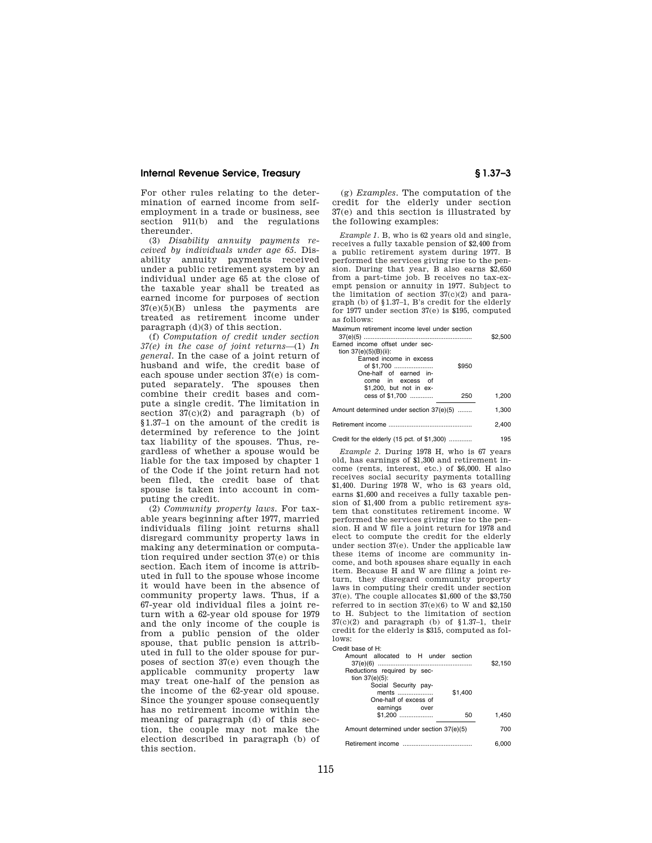## **Internal Revenue Service, Treasury § 1.37–3**

For other rules relating to the determination of earned income from selfemployment in a trade or business, see section 911(b) and the regulations thereunder.

(3) *Disability annuity payments received by individuals under age 65.* Disability annuity payments received under a public retirement system by an individual under age 65 at the close of the taxable year shall be treated as earned income for purposes of section  $37(e)(5)(B)$  unless the payments are treated as retirement income under paragraph (d)(3) of this section.

(f) *Computation of credit under section 37(e) in the case of joint returns*—(1) *In general.* In the case of a joint return of husband and wife, the credit base of each spouse under section 37(e) is computed separately. The spouses then combine their credit bases and compute a single credit. The limitation in section  $37(c)(2)$  and paragraph (b) of §1.37–1 on the amount of the credit is determined by reference to the joint tax liability of the spouses. Thus, regardless of whether a spouse would be liable for the tax imposed by chapter 1 of the Code if the joint return had not been filed, the credit base of that spouse is taken into account in computing the credit.

(2) *Community property laws.* For taxable years beginning after 1977, married individuals filing joint returns shall disregard community property laws in making any determination or computation required under section 37(e) or this section. Each item of income is attributed in full to the spouse whose income it would have been in the absence of community property laws. Thus, if a 67-year old individual files a joint return with a 62-year old spouse for 1979 and the only income of the couple is from a public pension of the older spouse, that public pension is attributed in full to the older spouse for purposes of section 37(e) even though the applicable community property law may treat one-half of the pension as the income of the 62-year old spouse. Since the younger spouse consequently has no retirement income within the meaning of paragraph (d) of this section, the couple may not make the election described in paragraph (b) of this section.

(g) *Examples.* The computation of the credit for the elderly under section 37(e) and this section is illustrated by the following examples:

*Example 1.* B, who is 62 years old and single, receives a fully taxable pension of \$2,400 from a public retirement system during 1977. B performed the services giving rise to the pension. During that year, B also earns \$2,650 from a part-time job. B receives no tax-exempt pension or annuity in 1977. Subject to the limitation of section 37(c)(2) and paragraph (b) of §1.37–1, B's credit for the elderly for 1977 under section 37(e) is \$195, computed as follows:

Maximum retirement income level under section

|                                          | \$2,500 |
|------------------------------------------|---------|
| Earned income offset under sec-          |         |
| tion 37(e)(5)(B)(ii):                    |         |
| Earned income in excess                  |         |
| of \$1,700<br>\$950                      |         |
| One-half of earned in-                   |         |
| come in excess of                        |         |
| \$1,200, but not in ex-                  |         |
| cess of \$1.700<br>250                   | 1,200   |
|                                          |         |
| Amount determined under section 37(e)(5) | 1.300   |
|                                          |         |
|                                          | 2.400   |
|                                          |         |

Credit for the elderly (15 pct. of \$1,300) ............. 195

*Example 2.* During 1978 H, who is 67 years old, has earnings of \$1,300 and retirement income (rents, interest, etc.) of \$6,000. H also receives social security payments totalling \$1,400. During 1978 W, who is 63 years old, earns \$1,600 and receives a fully taxable pension of \$1,400 from a public retirement system that constitutes retirement income. W performed the services giving rise to the pension. H and W file a joint return for 1978 and elect to compute the credit for the elderly under section 37(e). Under the applicable law these items of income are community income, and both spouses share equally in each item. Because H and W are filing a joint return, they disregard community property laws in computing their credit under section 37(e). The couple allocates \$1,600 of the \$3,750 referred to in section  $37(e)(6)$  to W and \$2,150 to H. Subject to the limitation of section  $37(c)(2)$  and paragraph (b) of §1.37-1, their credit for the elderly is \$315, computed as follows:

Credit base of H:

| Amount allocated to H under section      |         |
|------------------------------------------|---------|
|                                          | \$2,150 |
| Reductions required by sec-              |         |
| tion $37(e)(5)$ :                        |         |
| Social Security pay-                     |         |
| \$1,400<br>ments                         |         |
| One-half of excess of                    |         |
| earnings over                            |         |
| $$1.200$<br>50                           | 1.450   |
|                                          |         |
| Amount determined under section 37(e)(5) | 700     |
|                                          |         |
|                                          | 6.000   |